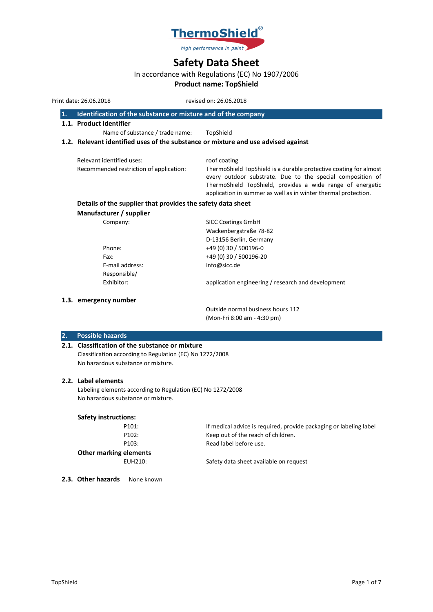

# **Safety Data Sheet**

# In accordance with Regulations (EC) No 1907/2006

# **Product name: TopShield**

Print date: 26.06.2018 revised on: 26.06.2018

| 1. | Identification of the substance or mixture and of the company |  |
|----|---------------------------------------------------------------|--|
|----|---------------------------------------------------------------|--|

**1.1. Product Identifier**

Name of substance / trade name: TopShield

# **1.2. Relevant identified uses of the substance or mixture and use advised against**

| Relevant identified uses:               | roof coating                                                      |
|-----------------------------------------|-------------------------------------------------------------------|
| Recommended restriction of application: | ThermoShield TopShield is a durable protective coating for almost |
|                                         | every outdoor substrate. Due to the special composition of        |
|                                         | ThermoShield TopShield, provides a wide range of energetic        |
|                                         | application in summer as well as in winter thermal protection.    |

# **Details of the supplier that provides the safety data sheet**

**Manufacturer / supplier**

| Company:        | <b>SICC Coatings GmbH</b>                          |
|-----------------|----------------------------------------------------|
|                 | Wackenbergstraße 78-82                             |
|                 | D-13156 Berlin, Germany                            |
| Phone:          | +49 (0) 30 / 500196-0                              |
| Fax:            | +49 (0) 30 / 500196-20                             |
| E-mail address: | info@sicc.de                                       |
| Responsible/    |                                                    |
| Exhibitor:      | application engineering / research and development |
|                 |                                                    |

# **1.3. emergency number**

Outside normal business hours 112 (Mon-Fri 8:00 am - 4:30 pm)

## **2. Possible hazards**

## **2.1. Classification of the substance or mixture**

Classification according to Regulation (EC) No 1272/2008 No hazardous substance or mixture.

# **2.2. Label elements**

Labeling elements according to Regulation (EC) No 1272/2008 No hazardous substance or mixture.

#### **Safety instructions:**

| P101:                  | If medical advice is required, provide packaging or labeling label |
|------------------------|--------------------------------------------------------------------|
| P <sub>102</sub> :     | Keep out of the reach of children.                                 |
| P <sub>103</sub> :     | Read label before use.                                             |
| Other marking elements |                                                                    |
| EUH210:                | Safety data sheet available on request                             |
|                        |                                                                    |

2.3. Other hazards None known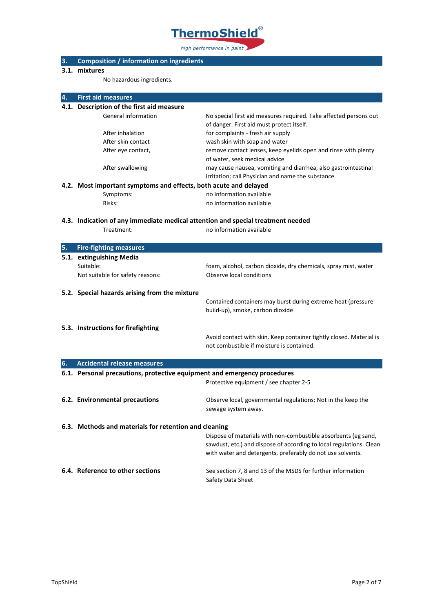

# **3. Composition / information on ingredients**

# **3.1. mixtures**

No hazardous ingredients.

| 4. | <b>First aid measures</b>                                                       |                                                                     |
|----|---------------------------------------------------------------------------------|---------------------------------------------------------------------|
|    | 4.1. Description of the first aid measure                                       |                                                                     |
|    | General information                                                             | No special first aid measures required. Take affected persons out   |
|    |                                                                                 | of danger. First aid must protect itself.                           |
|    | After inhalation                                                                | for complaints - fresh air supply                                   |
|    | After skin contact                                                              | wash skin with soap and water                                       |
|    | After eye contact,                                                              | remove contact lenses, keep eyelids open and rinse with plenty      |
|    |                                                                                 | of water, seek medical advice                                       |
|    | After swallowing                                                                | may cause nausea, vomiting and diarrhea, also gastrointestinal      |
|    |                                                                                 | irritation; call Physician and name the substance.                  |
|    | 4.2. Most important symptoms and effects, both acute and delayed                |                                                                     |
|    | Symptoms:                                                                       | no information available                                            |
|    | Risks:                                                                          | no information available                                            |
|    |                                                                                 |                                                                     |
|    | 4.3. Indication of any immediate medical attention and special treatment needed |                                                                     |
|    | Treatment:                                                                      | no information available                                            |
| 5. | <b>Fire-fighting measures</b>                                                   |                                                                     |
|    | 5.1. extinguishing Media                                                        |                                                                     |
|    | Suitable:                                                                       | foam, alcohol, carbon dioxide, dry chemicals, spray mist, water     |
|    | Not suitable for safety reasons:                                                | Observe local conditions                                            |
|    |                                                                                 |                                                                     |
|    | 5.2. Special hazards arising from the mixture                                   |                                                                     |
|    |                                                                                 | Contained containers may burst during extreme heat (pressure        |
|    |                                                                                 | build-up), smoke, carbon dioxide                                    |
|    |                                                                                 |                                                                     |
|    | 5.3. Instructions for firefighting                                              |                                                                     |
|    |                                                                                 | Avoid contact with skin. Keep container tightly closed. Material is |
|    |                                                                                 | not combustible if moisture is contained.                           |
|    |                                                                                 |                                                                     |
| 6. | <b>Accidental release measures</b>                                              |                                                                     |
|    | 6.1. Personal precautions, protective equipment and emergency procedures        |                                                                     |
|    |                                                                                 | Protective equipment / see chapter 2-5                              |
|    | 6.2. Environmental precautions                                                  | Observe local, governmental regulations; Not in the keep the        |
|    |                                                                                 | sewage system away.                                                 |
|    |                                                                                 |                                                                     |
|    | 6.3. Methods and materials for retention and cleaning                           |                                                                     |
|    |                                                                                 | Dispose of materials with non-combustible absorbents (eg sand,      |
|    |                                                                                 | sawdust, etc.) and dispose of according to local regulations. Clean |
|    |                                                                                 | with water and detergents, preferably do not use solvents.          |
|    |                                                                                 |                                                                     |
|    | 6.4. Reference to other sections                                                | See section 7, 8 and 13 of the MSDS for further information         |
|    |                                                                                 | Safety Data Sheet                                                   |
|    |                                                                                 |                                                                     |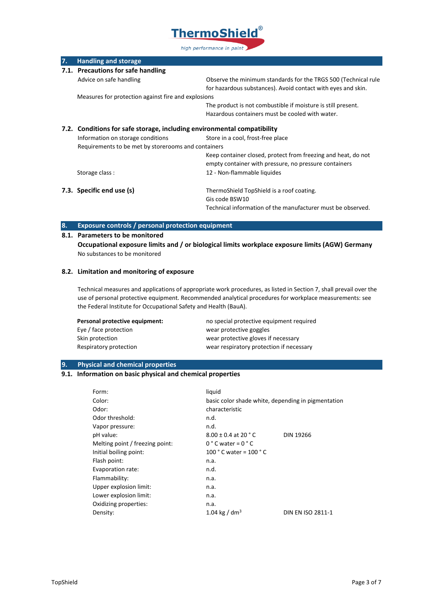

| 7. | <b>Handling and storage</b>                                             |                                                                |
|----|-------------------------------------------------------------------------|----------------------------------------------------------------|
|    | 7.1. Precautions for safe handling                                      |                                                                |
|    | Advice on safe handling                                                 | Observe the minimum standards for the TRGS 500 (Technical rule |
|    |                                                                         | for hazardous substances). Avoid contact with eyes and skin.   |
|    | Measures for protection against fire and explosions                     |                                                                |
|    |                                                                         | The product is not combustible if moisture is still present.   |
|    |                                                                         | Hazardous containers must be cooled with water.                |
|    | 7.2. Conditions for safe storage, including environmental compatibility |                                                                |
|    | Information on storage conditions                                       | Store in a cool, frost-free place                              |
|    | Requirements to be met by storerooms and containers                     |                                                                |
|    |                                                                         | Keep container closed, protect from freezing and heat, do not  |
|    |                                                                         | empty container with pressure, no pressure containers          |
|    | Storage class:                                                          | 12 - Non-flammable liquides                                    |
|    | 7.3. Specific end use (s)                                               | ThermoShield TopShield is a roof coating.                      |
|    |                                                                         | Gis code BSW10                                                 |
|    |                                                                         | Technical information of the manufacturer must be observed.    |

# **8. Exposure controls / personal protection equipment**

# **8.1. Parameters to be monitored**

**Occupational exposure limits and / or biological limits workplace exposure limits (AGW) Germany** No substances to be monitored

## **8.2. Limitation and monitoring of exposure**

Technical measures and applications of appropriate work procedures, as listed in Section 7, shall prevail over the use of personal protective equipment. Recommended analytical procedures for workplace measurements: see the Federal Institute for Occupational Safety and Health (BauA).

| Personal protective equipment: | no special protective equipment required |
|--------------------------------|------------------------------------------|
| Eye / face protection          | wear protective goggles                  |
| Skin protection                | wear protective gloves if necessary      |
| Respiratory protection         | wear respiratory protection if necessary |

#### **9. Physical and chemical properties**

# **9.1. Information on basic physical and chemical properties**

| Form:                           | liquid                                             |                          |
|---------------------------------|----------------------------------------------------|--------------------------|
| Color:                          | basic color shade white, depending in pigmentation |                          |
| Odor:                           | characteristic                                     |                          |
| Odor threshold:                 | n.d.                                               |                          |
| Vapor pressure:                 | n.d.                                               |                          |
| pH value:                       | $8.00 \pm 0.4$ at 20 $^{\circ}$ C                  | <b>DIN 19266</b>         |
| Melting point / freezing point: | $0 °C$ water = $0 °C$                              |                          |
| Initial boiling point:          | 100 $^{\circ}$ C water = 100 $^{\circ}$ C          |                          |
| Flash point:                    | n.a.                                               |                          |
| Evaporation rate:               | n.d.                                               |                          |
| Flammability:                   | n.a.                                               |                          |
| Upper explosion limit:          | n.a.                                               |                          |
| Lower explosion limit:          | n.a.                                               |                          |
| Oxidizing properties:           | n.a.                                               |                          |
| Density:                        | 1.04 kg / dm <sup>3</sup>                          | <b>DIN EN ISO 2811-1</b> |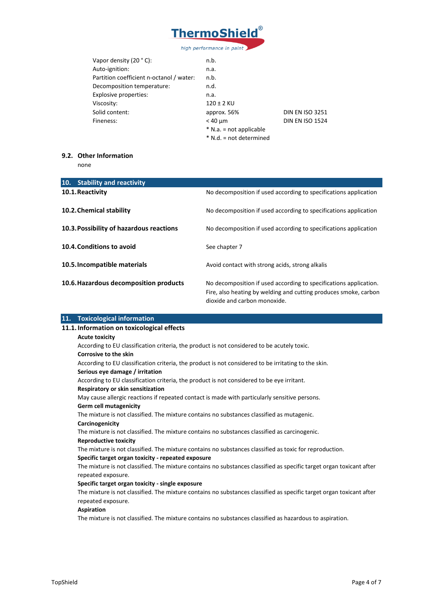

| Vapor density $(20 °C)$ :                | n.b.                      |                        |
|------------------------------------------|---------------------------|------------------------|
| Auto-ignition:                           | n.a.                      |                        |
| Partition coefficient n-octanol / water: | n.b.                      |                        |
| Decomposition temperature:               | n.d.                      |                        |
| Explosive properties:                    | n.a.                      |                        |
| Viscosity:                               | 120 ± 2 KU                |                        |
| Solid content:                           | approx. 56%               | <b>DIN EN ISO 3251</b> |
| Fineness:                                | $<$ 40 $\mu$ m            | <b>DIN EN ISO 1524</b> |
|                                          | $*$ N.a. = not applicable |                        |
|                                          | * N.d. = not determined   |                        |
|                                          |                           |                        |

# **9.2. Other Information**

none

| 10. Stability and reactivity             |                                                                                                                                                                       |
|------------------------------------------|-----------------------------------------------------------------------------------------------------------------------------------------------------------------------|
| 10.1. Reactivity                         | No decomposition if used according to specifications application                                                                                                      |
| 10.2. Chemical stability                 | No decomposition if used according to specifications application                                                                                                      |
| 10.3. Possibility of hazardous reactions | No decomposition if used according to specifications application                                                                                                      |
| 10.4. Conditions to avoid                | See chapter 7                                                                                                                                                         |
| 10.5. Incompatible materials             | Avoid contact with strong acids, strong alkalis                                                                                                                       |
| 10.6. Hazardous decomposition products   | No decomposition if used according to specifications application.<br>Fire, also heating by welding and cutting produces smoke, carbon<br>dioxide and carbon monoxide. |

| 11. Toxicological information                                                                                        |
|----------------------------------------------------------------------------------------------------------------------|
| 11.1. Information on toxicological effects                                                                           |
| <b>Acute toxicity</b>                                                                                                |
| According to EU classification criteria, the product is not considered to be acutely toxic.                          |
| <b>Corrosive to the skin</b>                                                                                         |
| According to EU classification criteria, the product is not considered to be irritating to the skin.                 |
| Serious eye damage / irritation                                                                                      |
| According to EU classification criteria, the product is not considered to be eye irritant.                           |
| Respiratory or skin sensitization                                                                                    |
| May cause allergic reactions if repeated contact is made with particularly sensitive persons.                        |
| Germ cell mutagenicity                                                                                               |
| The mixture is not classified. The mixture contains no substances classified as mutagenic.                           |
| Carcinogenicity                                                                                                      |
| The mixture is not classified. The mixture contains no substances classified as carcinogenic.                        |
| <b>Reproductive toxicity</b>                                                                                         |
| The mixture is not classified. The mixture contains no substances classified as toxic for reproduction.              |
| Specific target organ toxicity - repeated exposure                                                                   |
| The mixture is not classified. The mixture contains no substances classified as specific target organ toxicant after |
| repeated exposure.                                                                                                   |
| Specific target organ toxicity - single exposure                                                                     |
| The mixture is not classified. The mixture contains no substances classified as specific target organ toxicant after |
| repeated exposure.                                                                                                   |
| Aspiration                                                                                                           |
| The mixture is not classified. The mixture contains no substances classified as hazardous to aspiration.             |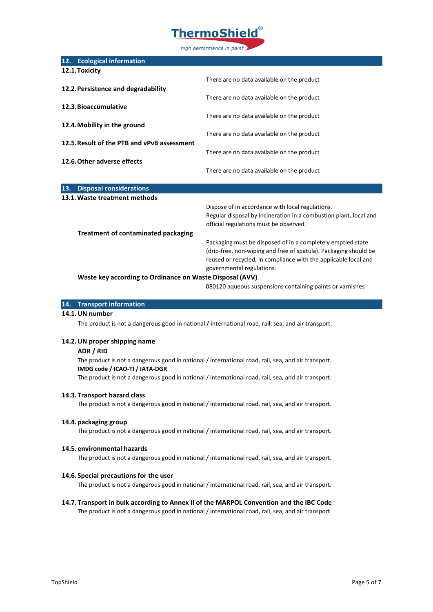

| There are no data available on the product                        |
|-------------------------------------------------------------------|
|                                                                   |
| There are no data available on the product                        |
|                                                                   |
| There are no data available on the product                        |
|                                                                   |
| There are no data available on the product                        |
|                                                                   |
| There are no data available on the product                        |
|                                                                   |
| There are no data available on the product                        |
|                                                                   |
|                                                                   |
| Dispose of in accordance with local regulations.                  |
| Regular disposal by incineration in a combustion plant, local and |
| official regulations must be observed.                            |
|                                                                   |
| Packaging must be disposed of in a completely emptied state       |
| (drip-free, non-wiping and free of spatula). Packaging should be  |
| reused or recycled, in compliance with the applicable local and   |
| governmental regulations.                                         |
| Waste key according to Ordinance on Waste Disposal (AVV)          |
|                                                                   |

080120 aqueous suspensions containing paints or varnishes

#### **14. Transport information**

## **14.1.UN number**

The product is not a dangerous good in national / international road, rail, sea, and air transport.

#### **14.2.UN proper shipping name**

#### **ADR / RID**

The product is not a dangerous good in national / international road, rail, sea, and air transport. **IMDG code / ICAO-TI / IATA-DGR**

The product is not a dangerous good in national / international road, rail, sea, and air transport.

#### **14.3. Transport hazard class**

The product is not a dangerous good in national / international road, rail, sea, and air transport.

#### **14.4. packaging group**

The product is not a dangerous good in national / international road, rail, sea, and air transport.

#### **14.5. environmental hazards**

The product is not a dangerous good in national / international road, rail, sea, and air transport.

#### **14.6. Special precautions for the user**

The product is not a dangerous good in national / international road, rail, sea, and air transport.

# **14.7. Transport in bulk according to Annex II of the MARPOL Convention and the IBC Code**

The product is not a dangerous good in national / international road, rail, sea, and air transport.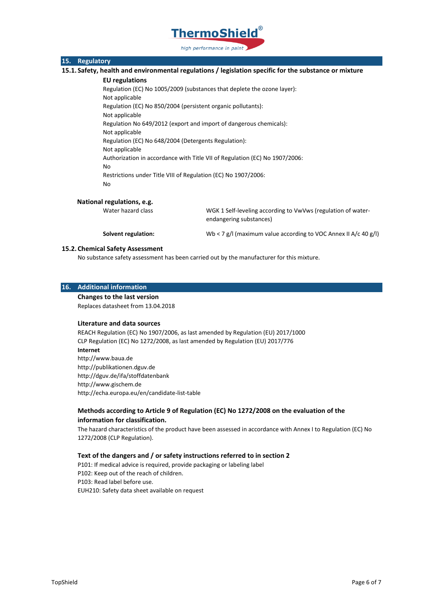

# **15. Regulatory**

**15.1. Safety, health and environmental regulations / legislation specific for the substance or mixture**

#### **EU regulations**

Regulation (EC) No 1005/2009 (substances that deplete the ozone layer): Not applicable Regulation (EC) No 850/2004 (persistent organic pollutants): Not applicable Regulation No 649/2012 (export and import of dangerous chemicals): Not applicable Regulation (EC) No 648/2004 (Detergents Regulation): Not applicable Authorization in accordance with Title VII of Regulation (EC) No 1907/2006: No Restrictions under Title VIII of Regulation (EC) No 1907/2006: No

#### **National regulations, e.g.**

Water hazard class WGK 1 Self-leveling according to VwVws (regulation of waterendangering substances)

**Solvent regulation:** Wb < 7 g/l (maximum value according to VOC Annex II A/c 40 g/l)

# **15.2. Chemical Safety Assessment**

No substance safety assessment has been carried out by the manufacturer for this mixture.

#### **16. Additional information**

**Changes to the last version** Replaces datasheet from 13.04.2018

#### **Literature and data sources**

REACH Regulation (EC) No 1907/2006, as last amended by Regulation (EU) 2017/1000 CLP Regulation (EC) No 1272/2008, as last amended by Regulation (EU) 2017/776 **Internet** http://www.baua.de http://publikationen.dguv.de http://dguv.de/ifa/stoffdatenbank http://www.gischem.de http://echa.europa.eu/en/candidate-list-table

# **Methods according to Article 9 of Regulation (EC) No 1272/2008 on the evaluation of the information for classification.**

The hazard characteristics of the product have been assessed in accordance with Annex I to Regulation (EC) No 1272/2008 (CLP Regulation).

#### **Text of the dangers and / or safety instructions referred to in section 2**

P101: If medical advice is required, provide packaging or labeling label P102: Keep out of the reach of children. P103: Read label before use. EUH210: Safety data sheet available on request